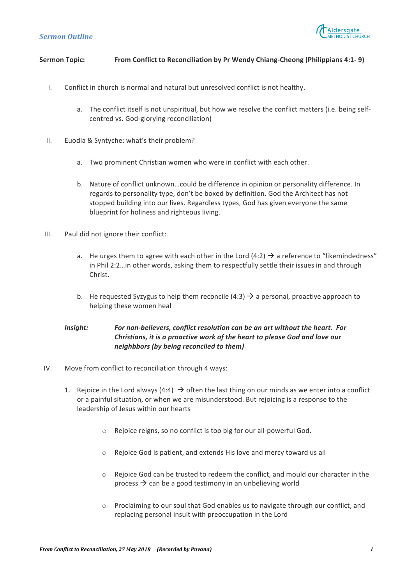

## **Sermon Topic: From Conflict to Reconciliation by Pr Wendy Chiang-Cheong (Philippians 4:1- 9)**

- I. Conflict in church is normal and natural but unresolved conflict is not healthy.
	- a. The conflict itself is not unspiritual, but how we resolve the conflict matters (i.e. being selfcentred vs. God-glorying reconciliation)
- II. Euodia & Syntyche: what's their problem?
	- a. Two prominent Christian women who were in conflict with each other.
	- b. Nature of conflict unknown...could be difference in opinion or personality difference. In regards to personality type, don't be boxed by definition. God the Architect has not stopped building into our lives. Regardless types, God has given everyone the same blueprint for holiness and righteous living.
- III. Paul did not ignore their conflict:
	- a. He urges them to agree with each other in the Lord (4:2)  $\rightarrow$  a reference to "likemindedness" in Phil 2:2…in other words, asking them to respectfully settle their issues in and through Christ.
	- b. He requested Syzygus to help them reconcile (4:3)  $\rightarrow$  a personal, proactive approach to helping these women heal

## *Insight:* For non-believers, conflict resolution can be an art without the heart. For *Christians, it is a proactive work of the heart to please God and love our neighbbors* (by being reconciled to them)

- IV. Move from conflict to reconciliation through 4 ways:
	- 1. Rejoice in the Lord always (4:4)  $\rightarrow$  often the last thing on our minds as we enter into a conflict or a painful situation, or when we are misunderstood. But rejoicing is a response to the leadership of Jesus within our hearts
		- $\circ$  Rejoice reigns, so no conflict is too big for our all-powerful God.
		- $\circ$  Rejoice God is patient, and extends His love and mercy toward us all
		- $\circ$  Rejoice God can be trusted to redeem the conflict, and mould our character in the process  $\rightarrow$  can be a good testimony in an unbelieving world
		- $\circ$  Proclaiming to our soul that God enables us to navigate through our conflict, and replacing personal insult with preoccupation in the Lord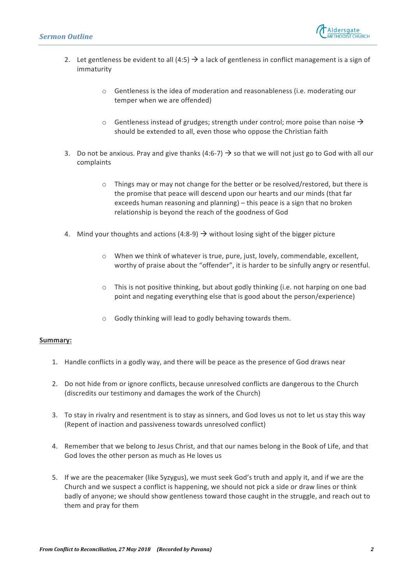

- 2. Let gentleness be evident to all (4:5)  $\rightarrow$  a lack of gentleness in conflict management is a sign of immaturity
	- $\circ$  Gentleness is the idea of moderation and reasonableness (i.e. moderating our temper when we are offended)
	- $\circ$  Gentleness instead of grudges; strength under control; more poise than noise  $\rightarrow$ should be extended to all, even those who oppose the Christian faith
- 3. Do not be anxious. Pray and give thanks (4:6-7)  $\rightarrow$  so that we will not just go to God with all our complaints
	- $\circ$  Things may or may not change for the better or be resolved/restored, but there is the promise that peace will descend upon our hearts and our minds (that far exceeds human reasoning and planning) – this peace is a sign that no broken relationship is beyond the reach of the goodness of God
- 4. Mind your thoughts and actions (4:8-9)  $\rightarrow$  without losing sight of the bigger picture
	- o When we think of whatever is true, pure, just, lovely, commendable, excellent, worthy of praise about the "offender", it is harder to be sinfully angry or resentful.
	- $\circ$  This is not positive thinking, but about godly thinking (i.e. not harping on one bad point and negating everything else that is good about the person/experience)
	- $\circ$  Godly thinking will lead to godly behaving towards them.

## **Summary:**

- 1. Handle conflicts in a godly way, and there will be peace as the presence of God draws near
- 2. Do not hide from or ignore conflicts, because unresolved conflicts are dangerous to the Church (discredits our testimony and damages the work of the Church)
- 3. To stay in rivalry and resentment is to stay as sinners, and God loves us not to let us stay this way (Repent of inaction and passiveness towards unresolved conflict)
- 4. Remember that we belong to Jesus Christ, and that our names belong in the Book of Life, and that God loves the other person as much as He loves us
- 5. If we are the peacemaker (like Syzygus), we must seek God's truth and apply it, and if we are the Church and we suspect a conflict is happening, we should not pick a side or draw lines or think badly of anyone; we should show gentleness toward those caught in the struggle, and reach out to them and pray for them